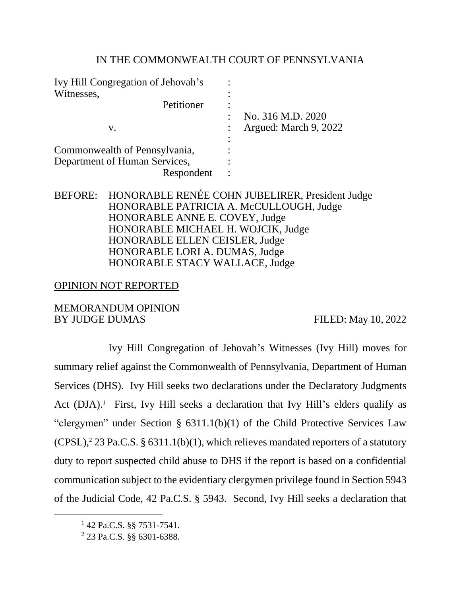# IN THE COMMONWEALTH COURT OF PENNSYLVANIA

| Ivy Hill Congregation of Jehovah's |                       |
|------------------------------------|-----------------------|
| Witnesses,                         |                       |
| Petitioner                         |                       |
|                                    | No. 316 M.D. 2020     |
| v.                                 | Argued: March 9, 2022 |
|                                    |                       |
| Commonwealth of Pennsylvania,      |                       |
| Department of Human Services,      |                       |
| Respondent                         |                       |

# BEFORE: HONORABLE RENÉE COHN JUBELIRER, President Judge HONORABLE PATRICIA A. McCULLOUGH, Judge HONORABLE ANNE E. COVEY, Judge HONORABLE MICHAEL H. WOJCIK, Judge HONORABLE ELLEN CEISLER, Judge HONORABLE LORI A. DUMAS, Judge HONORABLE STACY WALLACE, Judge

# OPINION NOT REPORTED

# MEMORANDUM OPINION BY JUDGE DUMAS FILED: May 10, 2022

Ivy Hill Congregation of Jehovah's Witnesses (Ivy Hill) moves for summary relief against the Commonwealth of Pennsylvania, Department of Human Services (DHS). Ivy Hill seeks two declarations under the Declaratory Judgments Act (DJA).<sup>1</sup> First, Ivy Hill seeks a declaration that Ivy Hill's elders qualify as "clergymen" under Section § 6311.1(b)(1) of the Child Protective Services Law  $(CPSL)<sup>2</sup> 23 Pa.C.S. § 6311.1(b)(1), which relies that the properties of a stationary$ duty to report suspected child abuse to DHS if the report is based on a confidential communication subject to the evidentiary clergymen privilege found in Section 5943 of the Judicial Code, 42 Pa.C.S. § 5943. Second, Ivy Hill seeks a declaration that

<sup>1</sup> 42 Pa.C.S. §§ 7531-7541.

<sup>2</sup> 23 Pa.C.S. §§ 6301-6388.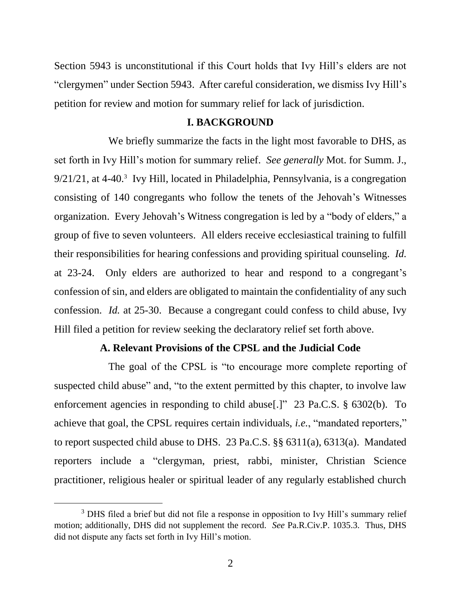Section 5943 is unconstitutional if this Court holds that Ivy Hill's elders are not "clergymen" under Section 5943. After careful consideration, we dismiss Ivy Hill's petition for review and motion for summary relief for lack of jurisdiction.

#### **I. BACKGROUND**

We briefly summarize the facts in the light most favorable to DHS, as set forth in Ivy Hill's motion for summary relief. *See generally* Mot. for Summ. J., 9/21/21, at 4-40.<sup>3</sup> Ivy Hill, located in Philadelphia, Pennsylvania, is a congregation consisting of 140 congregants who follow the tenets of the Jehovah's Witnesses organization. Every Jehovah's Witness congregation is led by a "body of elders," a group of five to seven volunteers. All elders receive ecclesiastical training to fulfill their responsibilities for hearing confessions and providing spiritual counseling. *Id.* at 23-24. Only elders are authorized to hear and respond to a congregant's confession of sin, and elders are obligated to maintain the confidentiality of any such confession. *Id.* at 25-30. Because a congregant could confess to child abuse, Ivy Hill filed a petition for review seeking the declaratory relief set forth above.

## **A. Relevant Provisions of the CPSL and the Judicial Code**

The goal of the CPSL is "to encourage more complete reporting of suspected child abuse" and, "to the extent permitted by this chapter, to involve law enforcement agencies in responding to child abuse[.]" 23 Pa.C.S. § 6302(b). To achieve that goal, the CPSL requires certain individuals, *i.e.*, "mandated reporters," to report suspected child abuse to DHS. 23 Pa.C.S. §§ 6311(a), 6313(a). Mandated reporters include a "clergyman, priest, rabbi, minister, Christian Science practitioner, religious healer or spiritual leader of any regularly established church

<sup>&</sup>lt;sup>3</sup> DHS filed a brief but did not file a response in opposition to Ivy Hill's summary relief motion; additionally, DHS did not supplement the record. *See* Pa.R.Civ.P. 1035.3. Thus, DHS did not dispute any facts set forth in Ivy Hill's motion.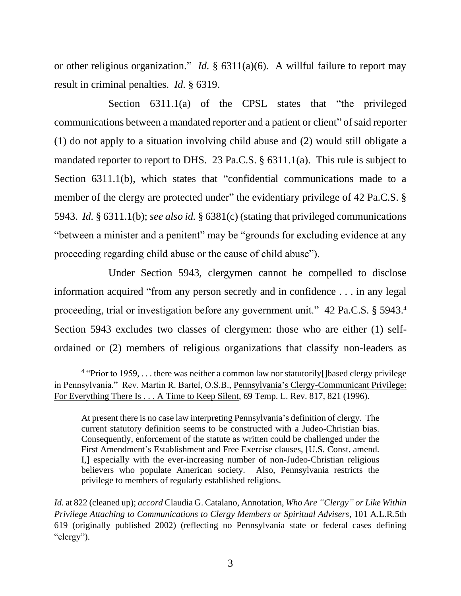or other religious organization." *Id.* § 6311(a)(6). A willful failure to report may result in criminal penalties. *Id.* § 6319.

Section 6311.1(a) of the CPSL states that "the privileged communications between a mandated reporter and a patient or client" of said reporter (1) do not apply to a situation involving child abuse and (2) would still obligate a mandated reporter to report to DHS. 23 Pa.C.S. § 6311.1(a). This rule is subject to Section 6311.1(b), which states that "confidential communications made to a member of the clergy are protected under" the evidentiary privilege of 42 Pa.C.S. § 5943. *Id.* § 6311.1(b); *see also id.* § 6381(c) (stating that privileged communications "between a minister and a penitent" may be "grounds for excluding evidence at any proceeding regarding child abuse or the cause of child abuse").

Under Section 5943, clergymen cannot be compelled to disclose information acquired "from any person secretly and in confidence . . . in any legal proceeding, trial or investigation before any government unit." 42 Pa.C.S. § 5943.4 Section 5943 excludes two classes of clergymen: those who are either (1) selfordained or (2) members of religious organizations that classify non-leaders as

<sup>&</sup>lt;sup>4</sup> "Prior to 1959, . . . there was neither a common law nor statutorily [Jbased clergy privilege in Pennsylvania." Rev. Martin R. Bartel, O.S.B., Pennsylvania's Clergy-Communicant Privilege: For Everything There Is . . . A Time to Keep Silent, 69 Temp. L. Rev. 817, 821 (1996).

At present there is no case law interpreting Pennsylvania's definition of clergy. The current statutory definition seems to be constructed with a Judeo-Christian bias. Consequently, enforcement of the statute as written could be challenged under the First Amendment's Establishment and Free Exercise clauses, [U.S. Const. amend. I,] especially with the ever-increasing number of non-Judeo-Christian religious believers who populate American society. Also, Pennsylvania restricts the privilege to members of regularly established religions.

*Id.* at 822 (cleaned up); *accord* Claudia G. Catalano, Annotation, *Who Are "Clergy" or Like Within Privilege Attaching to Communications to Clergy Members or Spiritual Advisers*, 101 A.L.R.5th 619 (originally published 2002) (reflecting no Pennsylvania state or federal cases defining "clergy").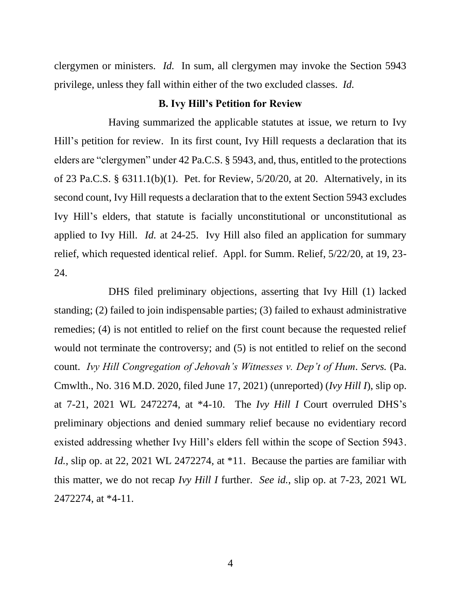clergymen or ministers. *Id.* In sum, all clergymen may invoke the Section 5943 privilege, unless they fall within either of the two excluded classes. *Id.*

## **B. Ivy Hill's Petition for Review**

Having summarized the applicable statutes at issue, we return to Ivy Hill's petition for review. In its first count, Ivy Hill requests a declaration that its elders are "clergymen" under 42 Pa.C.S. § 5943, and, thus, entitled to the protections of 23 Pa.C.S. § 6311.1(b)(1). Pet. for Review, 5/20/20, at 20. Alternatively, in its second count, Ivy Hill requests a declaration that to the extent Section 5943 excludes Ivy Hill's elders, that statute is facially unconstitutional or unconstitutional as applied to Ivy Hill. *Id.* at 24-25. Ivy Hill also filed an application for summary relief, which requested identical relief. Appl. for Summ. Relief, 5/22/20, at 19, 23- 24.

DHS filed preliminary objections, asserting that Ivy Hill (1) lacked standing; (2) failed to join indispensable parties; (3) failed to exhaust administrative remedies; (4) is not entitled to relief on the first count because the requested relief would not terminate the controversy; and (5) is not entitled to relief on the second count. *Ivy Hill Congregation of Jehovah's Witnesses v. Dep't of Hum. Servs.* (Pa. Cmwlth., No. 316 M.D. 2020, filed June 17, 2021) (unreported) (*Ivy Hill I*), slip op. at 7-21, 2021 WL 2472274, at \*4-10. The *Ivy Hill I* Court overruled DHS's preliminary objections and denied summary relief because no evidentiary record existed addressing whether Ivy Hill's elders fell within the scope of Section 5943. *Id.*, slip op. at 22, 2021 WL 2472274, at \*11. Because the parties are familiar with this matter, we do not recap *Ivy Hill I* further. *See id.*, slip op. at 7-23, 2021 WL 2472274, at \*4-11.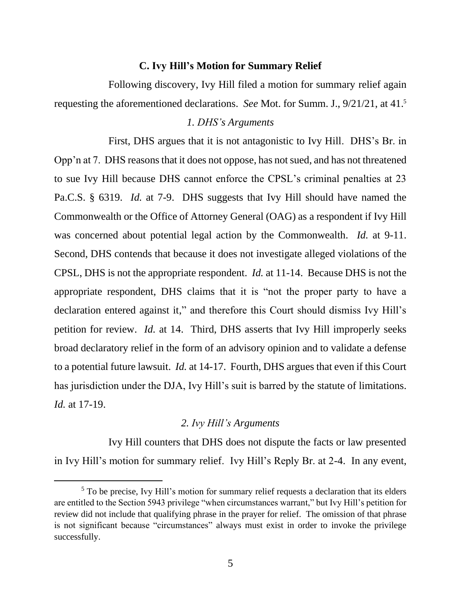#### **C. Ivy Hill's Motion for Summary Relief**

Following discovery, Ivy Hill filed a motion for summary relief again requesting the aforementioned declarations. *See* Mot. for Summ. J., 9/21/21, at 41. 5

#### *1. DHS's Arguments*

First, DHS argues that it is not antagonistic to Ivy Hill. DHS's Br. in Opp'n at 7. DHS reasons that it does not oppose, has not sued, and has not threatened to sue Ivy Hill because DHS cannot enforce the CPSL's criminal penalties at 23 Pa.C.S. § 6319. *Id.* at 7-9. DHS suggests that Ivy Hill should have named the Commonwealth or the Office of Attorney General (OAG) as a respondent if Ivy Hill was concerned about potential legal action by the Commonwealth. *Id.* at 9-11. Second, DHS contends that because it does not investigate alleged violations of the CPSL, DHS is not the appropriate respondent. *Id.* at 11-14. Because DHS is not the appropriate respondent, DHS claims that it is "not the proper party to have a declaration entered against it," and therefore this Court should dismiss Ivy Hill's petition for review. *Id.* at 14. Third, DHS asserts that Ivy Hill improperly seeks broad declaratory relief in the form of an advisory opinion and to validate a defense to a potential future lawsuit. *Id.* at 14-17. Fourth, DHS argues that even if this Court has jurisdiction under the DJA, Ivy Hill's suit is barred by the statute of limitations. *Id.* at 17-19.

## *2. Ivy Hill's Arguments*

Ivy Hill counters that DHS does not dispute the facts or law presented in Ivy Hill's motion for summary relief. Ivy Hill's Reply Br. at 2-4. In any event,

<sup>&</sup>lt;sup>5</sup> To be precise, Ivy Hill's motion for summary relief requests a declaration that its elders are entitled to the Section 5943 privilege "when circumstances warrant," but Ivy Hill's petition for review did not include that qualifying phrase in the prayer for relief. The omission of that phrase is not significant because "circumstances" always must exist in order to invoke the privilege successfully.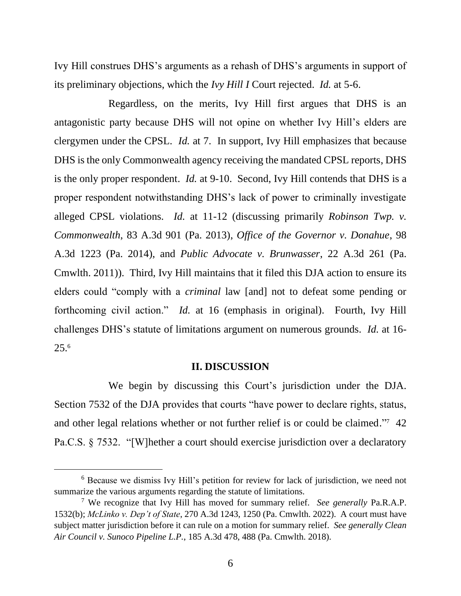Ivy Hill construes DHS's arguments as a rehash of DHS's arguments in support of its preliminary objections, which the *Ivy Hill I* Court rejected. *Id.* at 5-6.

Regardless, on the merits, Ivy Hill first argues that DHS is an antagonistic party because DHS will not opine on whether Ivy Hill's elders are clergymen under the CPSL. *Id.* at 7. In support, Ivy Hill emphasizes that because DHS is the only Commonwealth agency receiving the mandated CPSL reports, DHS is the only proper respondent. *Id.* at 9-10. Second, Ivy Hill contends that DHS is a proper respondent notwithstanding DHS's lack of power to criminally investigate alleged CPSL violations. *Id.* at 11-12 (discussing primarily *Robinson Twp. v. Commonwealth*, 83 A.3d 901 (Pa. 2013), *Office of the Governor v. Donahue*, 98 A.3d 1223 (Pa. 2014), and *Public Advocate v. Brunwasser*, 22 A.3d 261 (Pa. Cmwlth. 2011)). Third, Ivy Hill maintains that it filed this DJA action to ensure its elders could "comply with a *criminal* law [and] not to defeat some pending or forthcoming civil action." *Id.* at 16 (emphasis in original). Fourth, Ivy Hill challenges DHS's statute of limitations argument on numerous grounds. *Id.* at 16- 25.<sup>6</sup>

#### **II. DISCUSSION**

We begin by discussing this Court's jurisdiction under the DJA. Section 7532 of the DJA provides that courts "have power to declare rights, status, and other legal relations whether or not further relief is or could be claimed."<sup>7</sup> 42 Pa.C.S. § 7532. "[W]hether a court should exercise jurisdiction over a declaratory

<sup>6</sup> Because we dismiss Ivy Hill's petition for review for lack of jurisdiction, we need not summarize the various arguments regarding the statute of limitations.

<sup>7</sup> We recognize that Ivy Hill has moved for summary relief. *See generally* Pa.R.A.P. 1532(b); *McLinko v. Dep't of State*, 270 A.3d 1243, 1250 (Pa. Cmwlth. 2022). A court must have subject matter jurisdiction before it can rule on a motion for summary relief. *See generally Clean Air Council v. Sunoco Pipeline L.P.*, 185 A.3d 478, 488 (Pa. Cmwlth. 2018).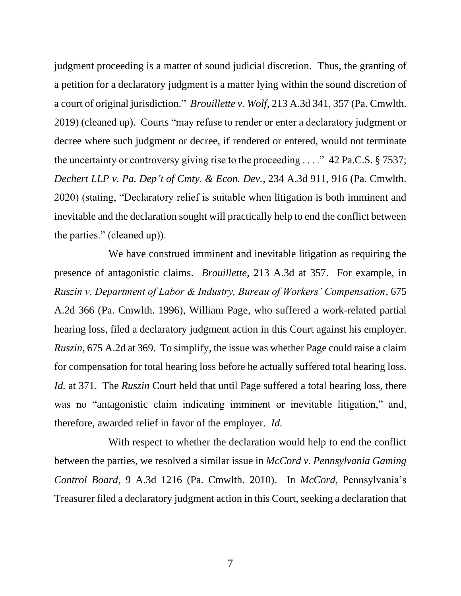judgment proceeding is a matter of sound judicial discretion. Thus, the granting of a petition for a declaratory judgment is a matter lying within the sound discretion of a court of original jurisdiction." *Brouillette v. Wolf*, 213 A.3d 341, 357 (Pa. Cmwlth. 2019) (cleaned up). Courts "may refuse to render or enter a declaratory judgment or decree where such judgment or decree, if rendered or entered, would not terminate the uncertainty or controversy giving rise to the proceeding . . . ." 42 Pa.C.S. § 7537; *Dechert LLP v. Pa. Dep't of Cmty. & Econ. Dev.*, 234 A.3d 911, 916 (Pa. Cmwlth. 2020) (stating, "Declaratory relief is suitable when litigation is both imminent and inevitable and the declaration sought will practically help to end the conflict between the parties." (cleaned up)).

We have construed imminent and inevitable litigation as requiring the presence of antagonistic claims. *Brouillette*, 213 A.3d at 357. For example, in *Ruszin v. Department of Labor & Industry, Bureau of Workers' Compensation*, 675 A.2d 366 (Pa. Cmwlth. 1996), William Page, who suffered a work-related partial hearing loss, filed a declaratory judgment action in this Court against his employer. *Ruszin*, 675 A.2d at 369. To simplify, the issue was whether Page could raise a claim for compensation for total hearing loss before he actually suffered total hearing loss. *Id.* at 371. The *Ruszin* Court held that until Page suffered a total hearing loss, there was no "antagonistic claim indicating imminent or inevitable litigation," and, therefore, awarded relief in favor of the employer. *Id.*

With respect to whether the declaration would help to end the conflict between the parties, we resolved a similar issue in *McCord v. Pennsylvania Gaming Control Board*, 9 A.3d 1216 (Pa. Cmwlth. 2010). In *McCord*, Pennsylvania's Treasurer filed a declaratory judgment action in this Court, seeking a declaration that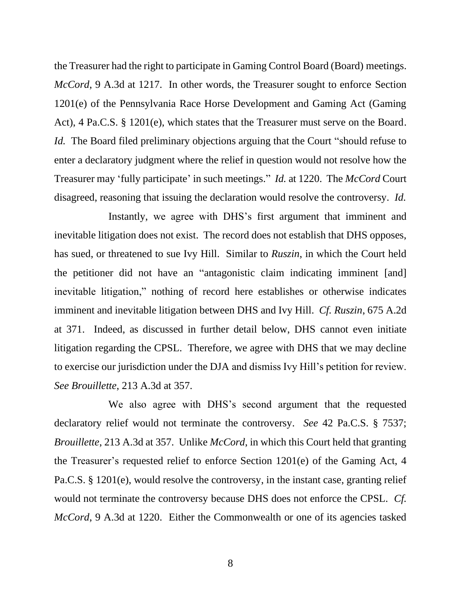the Treasurer had the right to participate in Gaming Control Board (Board) meetings. *McCord*, 9 A.3d at 1217. In other words, the Treasurer sought to enforce Section 1201(e) of the Pennsylvania Race Horse Development and Gaming Act (Gaming Act), 4 Pa.C.S. § 1201(e), which states that the Treasurer must serve on the Board. *Id.* The Board filed preliminary objections arguing that the Court "should refuse to enter a declaratory judgment where the relief in question would not resolve how the Treasurer may 'fully participate' in such meetings." *Id.* at 1220. The *McCord* Court disagreed, reasoning that issuing the declaration would resolve the controversy. *Id.*

Instantly, we agree with DHS's first argument that imminent and inevitable litigation does not exist. The record does not establish that DHS opposes, has sued, or threatened to sue Ivy Hill. Similar to *Ruszin*, in which the Court held the petitioner did not have an "antagonistic claim indicating imminent [and] inevitable litigation," nothing of record here establishes or otherwise indicates imminent and inevitable litigation between DHS and Ivy Hill. *Cf. Ruszin*, 675 A.2d at 371. Indeed, as discussed in further detail below, DHS cannot even initiate litigation regarding the CPSL. Therefore, we agree with DHS that we may decline to exercise our jurisdiction under the DJA and dismiss Ivy Hill's petition for review. *See Brouillette*, 213 A.3d at 357.

We also agree with DHS's second argument that the requested declaratory relief would not terminate the controversy. *See* 42 Pa.C.S. § 7537; *Brouillette*, 213 A.3d at 357. Unlike *McCord*, in which this Court held that granting the Treasurer's requested relief to enforce Section 1201(e) of the Gaming Act, 4 Pa.C.S. § 1201(e), would resolve the controversy, in the instant case, granting relief would not terminate the controversy because DHS does not enforce the CPSL. *Cf. McCord*, 9 A.3d at 1220. Either the Commonwealth or one of its agencies tasked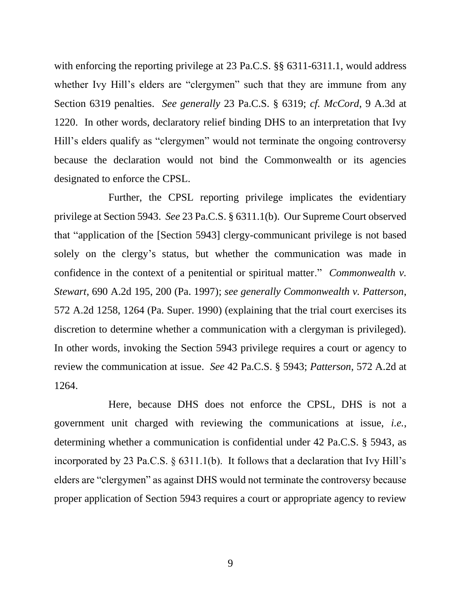with enforcing the reporting privilege at 23 Pa.C.S. §§ 6311-6311.1, would address whether Ivy Hill's elders are "clergymen" such that they are immune from any Section 6319 penalties. *See generally* 23 Pa.C.S. § 6319; *cf. McCord*, 9 A.3d at 1220. In other words, declaratory relief binding DHS to an interpretation that Ivy Hill's elders qualify as "clergymen" would not terminate the ongoing controversy because the declaration would not bind the Commonwealth or its agencies designated to enforce the CPSL.

Further, the CPSL reporting privilege implicates the evidentiary privilege at Section 5943. *See* 23 Pa.C.S. § 6311.1(b). Our Supreme Court observed that "application of the [Section 5943] clergy-communicant privilege is not based solely on the clergy's status, but whether the communication was made in confidence in the context of a penitential or spiritual matter." *Commonwealth v. Stewart*, 690 A.2d 195, 200 (Pa. 1997); *see generally Commonwealth v. Patterson*, 572 A.2d 1258, 1264 (Pa. Super. 1990) (explaining that the trial court exercises its discretion to determine whether a communication with a clergyman is privileged). In other words, invoking the Section 5943 privilege requires a court or agency to review the communication at issue. *See* 42 Pa.C.S. § 5943; *Patterson*, 572 A.2d at 1264.

Here, because DHS does not enforce the CPSL, DHS is not a government unit charged with reviewing the communications at issue, *i.e.*, determining whether a communication is confidential under 42 Pa.C.S. § 5943, as incorporated by 23 Pa.C.S. § 6311.1(b). It follows that a declaration that Ivy Hill's elders are "clergymen" as against DHS would not terminate the controversy because proper application of Section 5943 requires a court or appropriate agency to review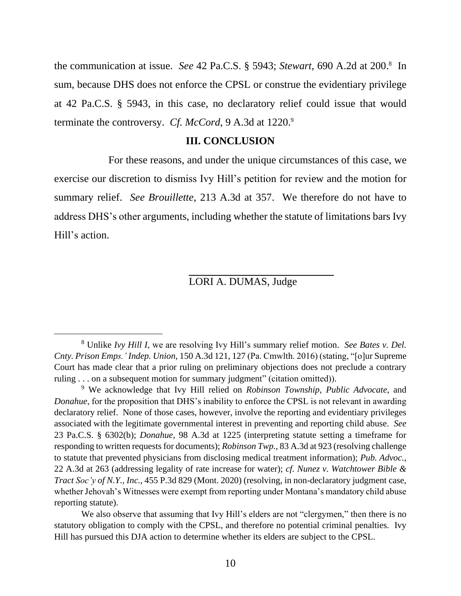the communication at issue. *See* 42 Pa.C.S. § 5943; *Stewart*, 690 A.2d at 200. 8 In sum, because DHS does not enforce the CPSL or construe the evidentiary privilege at 42 Pa.C.S. § 5943, in this case, no declaratory relief could issue that would terminate the controversy. *Cf. McCord*, 9 A.3d at 1220. 9

## **III. CONCLUSION**

For these reasons, and under the unique circumstances of this case, we exercise our discretion to dismiss Ivy Hill's petition for review and the motion for summary relief. *See Brouillette*, 213 A.3d at 357. We therefore do not have to address DHS's other arguments, including whether the statute of limitations bars Ivy Hill's action.

LORI A. DUMAS, Judge

We also observe that assuming that Ivy Hill's elders are not "clergymen," then there is no statutory obligation to comply with the CPSL, and therefore no potential criminal penalties. Ivy Hill has pursued this DJA action to determine whether its elders are subject to the CPSL.

<sup>8</sup> Unlike *Ivy Hill I*, we are resolving Ivy Hill's summary relief motion. *See Bates v. Del. Cnty. Prison Emps.' Indep. Union*, 150 A.3d 121, 127 (Pa. Cmwlth. 2016) (stating, "[o]ur Supreme Court has made clear that a prior ruling on preliminary objections does not preclude a contrary ruling . . . on a subsequent motion for summary judgment" (citation omitted)).

<sup>9</sup> We acknowledge that Ivy Hill relied on *Robinson Township*, *Public Advocate*, and *Donahue*, for the proposition that DHS's inability to enforce the CPSL is not relevant in awarding declaratory relief. None of those cases, however, involve the reporting and evidentiary privileges associated with the legitimate governmental interest in preventing and reporting child abuse. *See*  23 Pa.C.S. § 6302(b); *Donahue*, 98 A.3d at 1225 (interpreting statute setting a timeframe for responding to written requests for documents); *Robinson Twp.*, 83 A.3d at 923 (resolving challenge to statute that prevented physicians from disclosing medical treatment information); *Pub. Advoc.*, 22 A.3d at 263 (addressing legality of rate increase for water); *cf. Nunez v. Watchtower Bible & Tract Soc'y of N.Y., Inc.*, 455 P.3d 829 (Mont. 2020) (resolving, in non-declaratory judgment case, whether Jehovah's Witnesses were exempt from reporting under Montana's mandatory child abuse reporting statute).